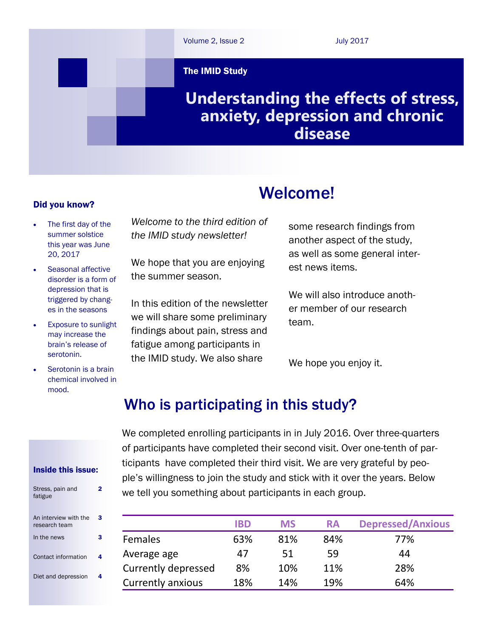

Welcome!

#### Did you know?

- The first day of the summer solstice this year was June 20, 2017
- Seasonal affective disorder is a form of depression that is triggered by changes in the seasons
- Exposure to sunlight may increase the brain's release of serotonin.
- Serotonin is a brain chemical involved in mood.

*Welcome to the third edition of the IMID study newsletter!*

We hope that you are enjoying the summer season.

In this edition of the newsletter we will share some preliminary findings about pain, stress and fatigue among participants in the IMID study. We also share

some research findings from another aspect of the study, as well as some general interest news items.

We will also introduce another member of our research team.

We hope you enjoy it.

# Who is participating in this study?

We completed enrolling participants in in July 2016. Over three-quarters of participants have completed their second visit. Over one-tenth of participants have completed their third visit. We are very grateful by people's willingness to join the study and stick with it over the years. Below we tell you something about participants in each group.

|                          | <b>IBD</b> | <b>MS</b> | <b>RA</b> | <b>Depressed/Anxious</b> |
|--------------------------|------------|-----------|-----------|--------------------------|
| <b>Females</b>           | 63%        | 81%       | 84%       | 77%                      |
| Average age              | 47         | 51        | 59        | 44                       |
| Currently depressed      | 8%         | 10%       | 11%       | 28%                      |
| <b>Currently anxious</b> | 18%        | 14%       | 19%       | 64%                      |

#### Inside this issue:

| Stress, pain and<br>fatigue            |   |
|----------------------------------------|---|
| An interview with the<br>research team | з |
| In the news                            | з |
| Contact information                    |   |
| Diet and depression                    |   |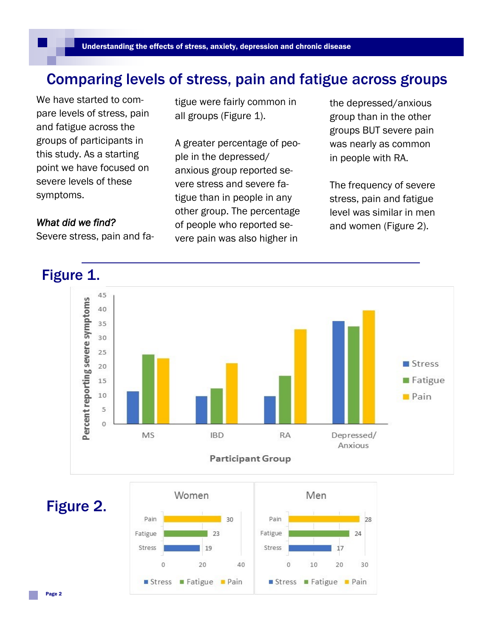## Comparing levels of stress, pain and fatigue across groups

We have started to compare levels of stress, pain and fatigue across the groups of participants in this study. As a starting point we have focused on severe levels of these symptoms.

#### *What did we find?*

Severe stress, pain and fa-

tigue were fairly common in all groups (Figure 1).

A greater percentage of people in the depressed/ anxious group reported severe stress and severe fatigue than in people in any other group. The percentage of people who reported severe pain was also higher in

the depressed/anxious group than in the other groups BUT severe pain was nearly as common in people with RA.

The frequency of severe stress, pain and fatigue level was similar in men and women (Figure 2).



Figure 2.

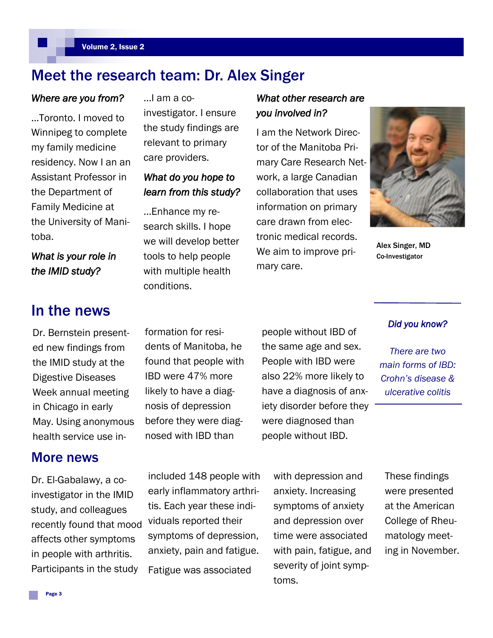# Meet the research team: Dr. Alex Singer

#### *Where are you from?*

...Toronto. I moved to Winnipeg to complete my family medicine residency. Now I an an Assistant Professor in the Department of Family Medicine at the University of Manitoba.

*What is your role in the IMID study?* 

### In the news

Dr. Bernstein presented new findings from the IMID study at the Digestive Diseases Week annual meeting in Chicago in early May. Using anonymous health service use in-

### More news

Dr. El-Gabalawy, a coinvestigator in the IMID study, and colleagues recently found that mood affects other symptoms in people with arthritis. Participants in the study

...I am a coinvestigator. I ensure the study findings are relevant to primary care providers.

### *What do you hope to learn from this study?*

...Enhance my research skills. I hope we will develop better tools to help people with multiple health conditions.

### *What other research are you involved in?*

I am the Network Director of the Manitoba Primary Care Research Network, a large Canadian collaboration that uses information on primary care drawn from electronic medical records. We aim to improve primary care.



Alex Singer, MD Co-Investigator

formation for residents of Manitoba, he found that people with IBD were 47% more likely to have a diagnosis of depression before they were diagnosed with IBD than

people without IBD of the same age and sex. People with IBD were also 22% more likely to have a diagnosis of anxiety disorder before they were diagnosed than people without IBD.

#### *Did you know?*

*There are two main forms of IBD: Crohn's disease & ulcerative colitis* 

included 148 people with early inflammatory arthritis. Each year these individuals reported their symptoms of depression, anxiety, pain and fatigue. Fatigue was associated

with depression and anxiety. Increasing symptoms of anxiety and depression over time were associated with pain, fatigue, and severity of joint symptoms.

These findings were presented at the American College of Rheumatology meeting in November.